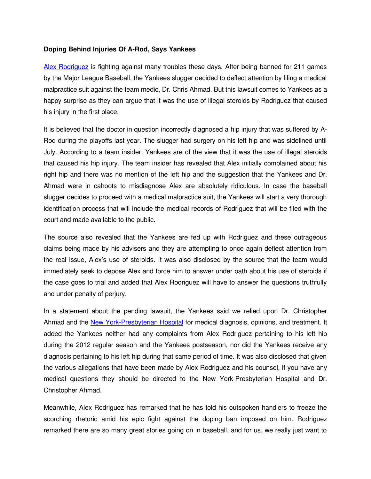## **Doping Behind Injuries Of A-Rod, Says Yankees**

[Alex Rodriguez](http://www.isteroids.com/blog/alex-rodriguez-suspended-through-2014/) is fighting against many troubles these days. After being banned for 211 games by the Major League Baseball, the Yankees slugger decided to deflect attention by filing a medical malpractice suit against the team medic, Dr. Chris Ahmad. But this lawsuit comes to Yankees as a happy surprise as they can argue that it was the use of illegal steroids by Rodriguez that caused his injury in the first place.

It is believed that the doctor in question incorrectly diagnosed a hip injury that was suffered by A-Rod during the playoffs last year. The slugger had surgery on his left hip and was sidelined until July. According to a team insider, Yankees are of the view that it was the use of illegal steroids that caused his hip injury. The team insider has revealed that Alex initially complained about his right hip and there was no mention of the left hip and the suggestion that the Yankees and Dr. Ahmad were in cahoots to misdiagnose Alex are absolutely ridiculous. In case the baseball slugger decides to proceed with a medical malpractice suit, the Yankees will start a very thorough identification process that will include the medical records of Rodriguez that will be filed with the court and made available to the public.

The source also revealed that the Yankees are fed up with Rodriguez and these outrageous claims being made by his advisers and they are attempting to once again deflect attention from the real issue, Alex's use of steroids. It was also disclosed by the source that the team would immediately seek to depose Alex and force him to answer under oath about his use of steroids if the case goes to trial and added that Alex Rodriguez will have to answer the questions truthfully and under penalty of perjury.

In a statement about the pending lawsuit, the Yankees said we relied upon Dr. Christopher Ahmad and the New York-Presbyterian Hospital for medical diagnosis, opinions, and treatment. It added the Yankees neither had any complaints from Alex Rodriguez pertaining to his left hip during the 2012 regular season and the Yankees postseason, nor did the Yankees receive any diagnosis pertaining to his left hip during that same period of time. It was also disclosed that given the various allegations that have been made by Alex Rodriguez and his counsel, if you have any medical questions they should be directed to the New York-Presbyterian Hospital and Dr. Christopher Ahmad.

Meanwhile, Alex Rodriguez has remarked that he has told his outspoken handlers to freeze the scorching rhetoric amid his epic fight against the doping ban imposed on him. Rodriguez remarked there are so many great stories going on in baseball, and for us, we really just want to